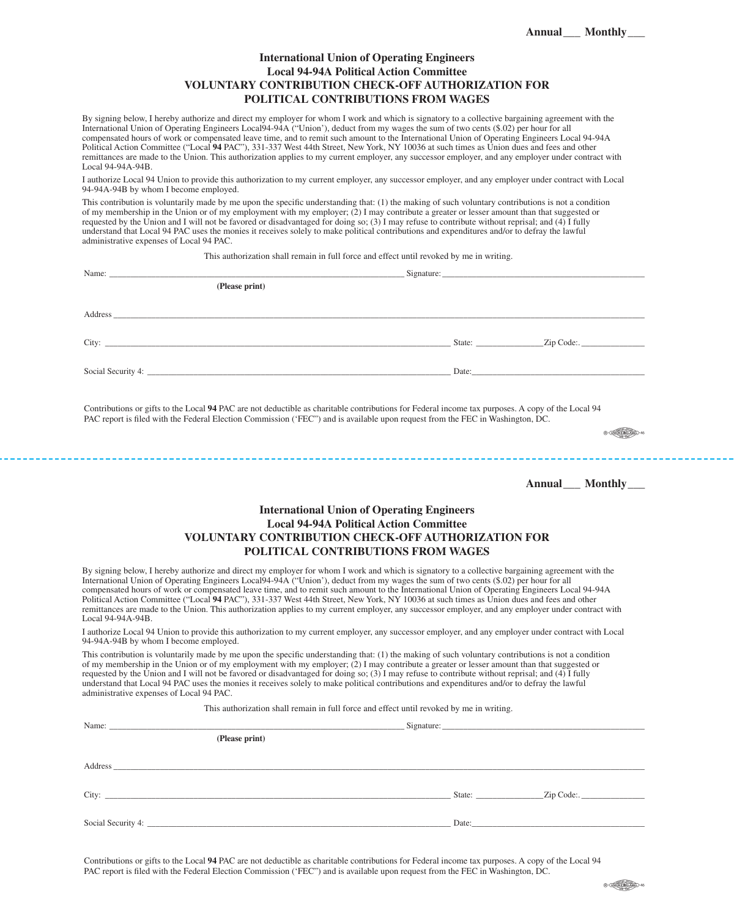## **International Union of Operating Engineers Local 94-94A Political Action Committee VOLUNTARY CONTRIBUTION CHECK-OFF AUTHORIZATION FOR POLITICAL CONTRIBUTIONS FROM WAGES**

By signing below, I hereby authorize and direct my employer for whom I work and which is signatory to a collective bargaining agreement with the International Union of Operating Engineers Local94-94A ("Union'), deduct from my wages the sum of two cents (\$.02) per hour for all compensated hours of work or compensated leave time, and to remit such amount to the International Union of Operating Engineers Local 94-94A Political Action Committee ("Local **94** PAC"), 331-337 West 44th Street, New York, NY 10036 at such times as Union dues and fees and other remittances are made to the Union. This authorization applies to my current employer, any successor employer, and any employer under contract with Local 94-94A-94B.

I authorize Local 94 Union to provide this authorization to my current employer, any successor employer, and any employer under contract with Local 94-94A-94B by whom I become employed.

This contribution is voluntarily made by me upon the specific understanding that: (1) the making of such voluntary contributions is not a condition of my membership in the Union or of my employment with my employer; (2) I may contribute a greater or lesser amount than that suggested or requested by the Union and I will not be favored or disadvantaged for doing so; (3) I may refuse to contribute without reprisal; and (4) I fully understand that Local 94 PAC uses the monies it receives solely to make political contributions and expenditures and/or to defray the lawful administrative expenses of Local 94 PAC.

This authorization shall remain in full force and effect until revoked by me in writing.

| (Please print)                                                                                                                                                                                                                 |                             |                              |
|--------------------------------------------------------------------------------------------------------------------------------------------------------------------------------------------------------------------------------|-----------------------------|------------------------------|
| Address and the contract of the contract of the contract of the contract of the contract of the contract of the contract of the contract of the contract of the contract of the contract of the contract of the contract of th |                             |                              |
|                                                                                                                                                                                                                                |                             | $\angle$ Zip Code:. $\angle$ |
|                                                                                                                                                                                                                                | Date: $\qquad \qquad$ Date: |                              |
|                                                                                                                                                                                                                                |                             |                              |

Contributions or gifts to the Local **94** PAC are not deductible as charitable contributions for Federal income tax purposes. A copy of the Local 94 PAC report is filed with the Federal Election Commission ('FEC") and is available upon request from the FEC in Washington, DC.

 $\circledcircled{c} \xrightarrow{\text{comorphism}} \circledcircled{c}$ 

**Annual\_\_\_ Monthly\_\_\_** 

## **International Union of Operating Engineers Local 94-94A Political Action Committee VOLUNTARY CONTRIBUTION CHECK-OFF AUTHORIZATION FOR POLITICAL CONTRIBUTIONS FROM WAGES**

\_\_\_\_\_\_\_\_\_\_\_\_\_\_\_\_\_\_\_\_\_\_\_\_\_\_

By signing below, I hereby authorize and direct my employer for whom I work and which is signatory to a collective bargaining agreement with the International Union of Operating Engineers Local 94-94A ("Union"), deduct fro compensated hours of work or compensated leave time, and to remit such amount to the International Union of Operating Engineers Local 94-94A Political Action Committee ("Local **94** PAC"), 331-337 West 44th Street, New York, NY 10036 at such times as Union dues and fees and other remittances are made to the Union. This authorization applies to my current employer, any successor employer, and any employer under contract with Local 94-94A-94B.

I authorize Local 94 Union to provide this authorization to my current employer, any successor employer, and any employer under contract with Local 94-94A-94B by whom I become employed.

This contribution is voluntarily made by me upon the specific understanding that: (1) the making of such voluntary contributions is not a condition of my membership in the Union or of my employment with my employer; (2) I may contribute a greater or lesser amount than that suggested or requested by the Union and I will not be favored or disadvantaged for doing so; (3) I may refuse to contribute without reprisal; and (4) I fully understand that Local 94 PAC uses the monies it receives solely to make political contributions and expenditures and/or to defray the lawful administrative expenses of Local 94 PAC.

This authorization shall remain in full force and effect until revoked by me in writing.

| (Please print) |                                                                                                                                                                                                                                |                         |
|----------------|--------------------------------------------------------------------------------------------------------------------------------------------------------------------------------------------------------------------------------|-------------------------|
|                |                                                                                                                                                                                                                                |                         |
|                |                                                                                                                                                                                                                                |                         |
|                |                                                                                                                                                                                                                                |                         |
|                |                                                                                                                                                                                                                                | State: <u>Zip Code:</u> |
|                |                                                                                                                                                                                                                                |                         |
|                | Date: the contract of the contract of the contract of the contract of the contract of the contract of the contract of the contract of the contract of the contract of the contract of the contract of the contract of the cont |                         |
|                |                                                                                                                                                                                                                                |                         |

Contributions or gifts to the Local **94** PAC are not deductible as charitable contributions for Federal income tax purposes. A copy of the Local 94 PAC report is filed with the Federal Election Commission ('FEC") and is available upon request from the FEC in Washington, DC.